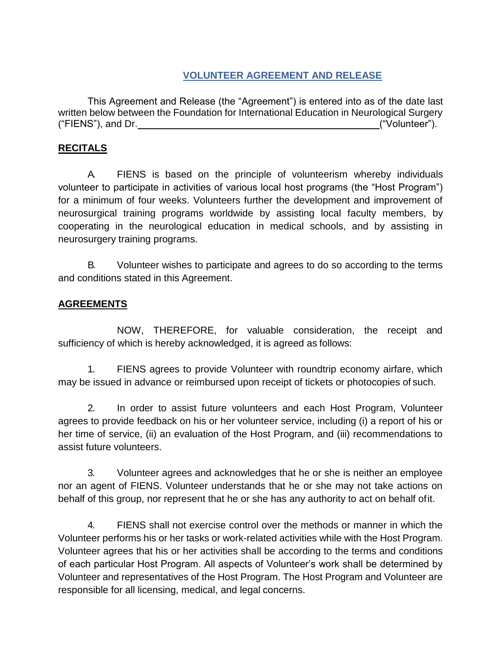## <span id="page-0-0"></span>**[VOLUNTEER AGREEMENT AND](#page-0-0) RELEASE**

[This Agreement and Release \(the "Agreement"\) is entered into as of the date last](#page-0-0)  [written below between the Foundation for International Education in Neurological Surgery](#page-0-0)  ("FIENS"), and Dr. [\("Volunteer"\).](#page-0-0)

## **[RECITALS](#page-0-0)**

A. [FIENS is based on the principle of volunteerism whereby individuals](#page-0-0)  [volunteer to participate in activities of various local host programs \(the "Host Program"\)](#page-0-0)  [for a minimum of four weeks. Volunteers further the development and improvement of](#page-0-0)  [neurosurgical training programs worldwide by assisting local faculty members, by](#page-0-0)  [cooperating in the neurological education in medical schools, and by assisting in](#page-0-0)  [neurosurgery training](#page-0-0) programs.

B. [Volunteer wishes to participate and agrees to do so according to the terms](#page-0-0)  [and conditions stated in this](#page-0-0) Agreement.

## **[AGREEMENTS](#page-0-0)**

NOW, [THEREFORE,](#page-0-0) for valuable consideration, the receipt and [sufficiency of which is hereby acknowledged, it is agreed as](#page-0-0) follows:

1. [FIENS agrees to provide Volunteer with roundtrip economy airfare, which](#page-0-0)  [may be issued in advance or reimbursed upon receipt of tickets or photocopies of](#page-0-0) such.

2. In order to assist future volunteers [and each Host Program, Volunteer](#page-0-0)  [agrees to provide feedback on his or her volunteer service, including \(i\) a report of his or](#page-0-0)  [her time of service, \(ii\) an evaluation of the Host Program, and \(iii\) recommendations to](#page-0-0)  [assist future](#page-0-0) volunteers.

3. [Volunteer agrees and acknowledges that he or she is neither an employee](#page-0-0)  [nor an agent of FIENS. Volunteer understands that he or she may not take actions on](#page-0-0)  [behalf of this group, nor represent that he or she has any authority to act on behalf ofit.](#page-0-0)

4. [FIENS shall not exercise control over the methods or manner in which the](#page-0-0)  [Volunteer performs his or her tasks or work-related activities while with the Host Program.](#page-0-0)  [Volunteer agrees that his or her activities shall be according to the terms and conditions](#page-0-0)  [of each particular Host Program. All aspects of Volunteer's work shall be determined by](#page-0-0)  [Volunteer and representatives of the Host Program. The Host Program and Volunteer are](#page-0-0)  [responsible for all licensing, medical, and legal](#page-0-0) concerns.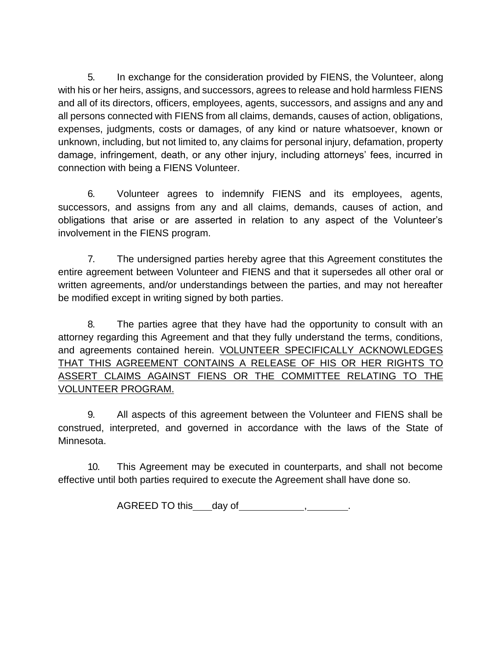5. In exchange for the consideration provided by FIENS, the Volunteer, along with his or her heirs, assigns, and successors, agrees to release and hold harmless FIENS and all of its directors, officers, employees, agents, successors, and assigns and any and all persons connected with FIENS from all claims, demands, causes of action, obligations, expenses, judgments, costs or damages, of any kind or nature whatsoever, known or unknown, including, but not limited to, any claims for personal injury, defamation, property damage, infringement, death, or any other injury, including attorneys' fees, incurred in connection with being a FIENS Volunteer.

6. Volunteer agrees to indemnify FIENS and its employees, agents, successors, and assigns from any and all claims, demands, causes of action, and obligations that arise or are asserted in relation to any aspect of the Volunteer's involvement in the FIENS program.

7. The undersigned parties hereby agree that this Agreement constitutes the entire agreement between Volunteer and FIENS and that it supersedes all other oral or written agreements, and/or understandings between the parties, and may not hereafter be modified except in writing signed by both parties.

8. The parties agree that they have had the opportunity to consult with an attorney regarding this Agreement and that they fully understand the terms, conditions, and agreements contained herein. VOLUNTEER SPECIFICALLY ACKNOWLEDGES THAT THIS AGREEMENT CONTAINS A RELEASE OF HIS OR HER RIGHTS TO ASSERT CLAIMS AGAINST FIENS OR THE COMMITTEE RELATING TO THE VOLUNTEER PROGRAM.

9. All aspects of this agreement between the Volunteer and FIENS shall be construed, interpreted, and governed in accordance with the laws of the State of Minnesota.

10. This Agreement may be executed in counterparts, and shall not become effective until both parties required to execute the Agreement shall have done so.

AGREED TO this day of ,